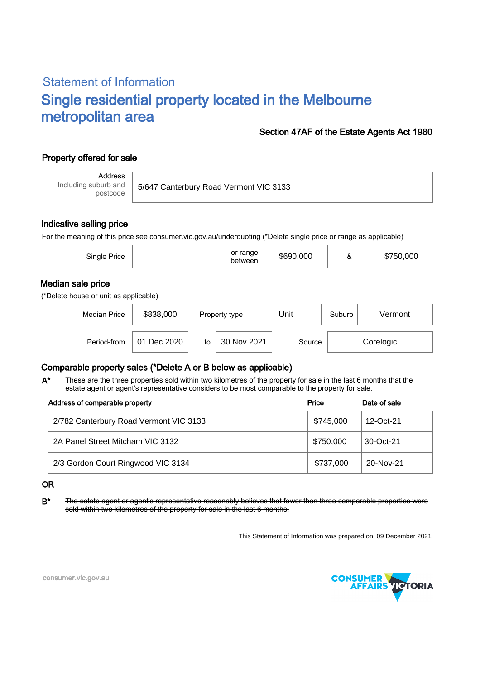# Statement of Information Single residential property located in the Melbourne metropolitan area

### Section 47AF of the Estate Agents Act 1980

## Property offered for sale

Address Including suburb and postcode

5/647 Canterbury Road Vermont VIC 3133

### Indicative selling price

For the meaning of this price see consumer.vic.gov.au/underquoting (\*Delete single price or range as applicable)

| Single Price                                               |           | or range<br>between | \$690,000 | &      | \$750,000 |
|------------------------------------------------------------|-----------|---------------------|-----------|--------|-----------|
| Median sale price<br>(*Delete house or unit as applicable) |           |                     |           |        |           |
| <b>Median Price</b>                                        | \$838,000 | Property type       | Unit      | Suburb | Vermont   |

### Comparable property sales (\*Delete A or B below as applicable)

These are the three properties sold within two kilometres of the property for sale in the last 6 months that the estate agent or agent's representative considers to be most comparable to the property for sale. A\*

Period-from to Source

| Address of comparable property         | Price     | Date of sale |
|----------------------------------------|-----------|--------------|
| 2/782 Canterbury Road Vermont VIC 3133 | \$745,000 | 12-Oct-21    |
| 2A Panel Street Mitcham VIC 3132       | \$750,000 | 30-Oct-21    |
| 2/3 Gordon Court Ringwood VIC 3134     | \$737,000 | 20-Nov-21    |

#### OR

B<sup>\*</sup> The estate agent or agent's representative reasonably believes that fewer than three comparable properties were sold within two kilometres of the property for sale in the last 6 months.

This Statement of Information was prepared on: 09 December 2021

30 Nov 2021 Source Corelogic



consumer.vic.gov.au